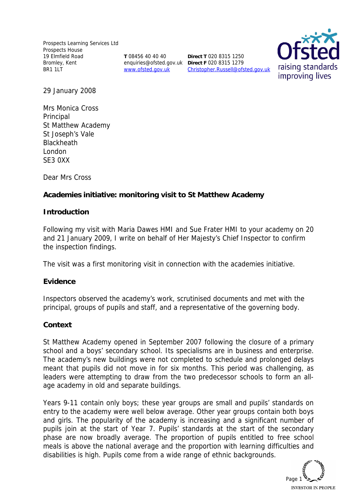Prospects Learning Services Ltd Prospects House 19 Elmfield Road Bromley, Kent BR1 1LT

**T** 08456 40 40 40 www.ofsted.gov.uk

enquiries@ofsted.gov.uk **Direct F** 020 8315 1279 **Direct T** 020 8315 1250 Christopher.Russell@ofsted.gov.uk



29 January 2008

Mrs Monica Cross Principal St Matthew Academy St Joseph's Vale **Blackheath** London SE3 0XX

Dear Mrs Cross

**Academies initiative: monitoring visit to St Matthew Academy**

### **Introduction**

Following my visit with Maria Dawes HMI and Sue Frater HMI to your academy on 20 and 21 January 2009, I write on behalf of Her Majesty's Chief Inspector to confirm the inspection findings.

The visit was a first monitoring visit in connection with the academies initiative.

### **Evidence**

Inspectors observed the academy's work, scrutinised documents and met with the principal, groups of pupils and staff, and a representative of the governing body.

### **Context**

St Matthew Academy opened in September 2007 following the closure of a primary school and a boys' secondary school. Its specialisms are in business and enterprise. The academy's new buildings were not completed to schedule and prolonged delays meant that pupils did not move in for six months. This period was challenging, as leaders were attempting to draw from the two predecessor schools to form an allage academy in old and separate buildings.

Years 9-11 contain only boys; these year groups are small and pupils' standards on entry to the academy were well below average. Other year groups contain both boys and girls. The popularity of the academy is increasing and a significant number of pupils join at the start of Year 7. Pupils' standards at the start of the secondary phase are now broadly average. The proportion of pupils entitled to free school meals is above the national average and the proportion with learning difficulties and disabilities is high. Pupils come from a wide range of ethnic backgrounds.

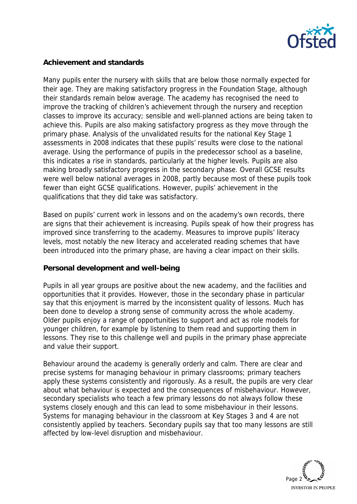

### **Achievement and standards**

Many pupils enter the nursery with skills that are below those normally expected for their age. They are making satisfactory progress in the Foundation Stage, although their standards remain below average. The academy has recognised the need to improve the tracking of children's achievement through the nursery and reception classes to improve its accuracy; sensible and well-planned actions are being taken to achieve this. Pupils are also making satisfactory progress as they move through the primary phase. Analysis of the unvalidated results for the national Key Stage 1 assessments in 2008 indicates that these pupils' results were close to the national average. Using the performance of pupils in the predecessor school as a baseline, this indicates a rise in standards, particularly at the higher levels. Pupils are also making broadly satisfactory progress in the secondary phase. Overall GCSE results were well below national averages in 2008, partly because most of these pupils took fewer than eight GCSE qualifications. However, pupils' achievement in the qualifications that they did take was satisfactory.

Based on pupils' current work in lessons and on the academy's own records, there are signs that their achievement is increasing. Pupils speak of how their progress has improved since transferring to the academy. Measures to improve pupils' literacy levels, most notably the new literacy and accelerated reading schemes that have been introduced into the primary phase, are having a clear impact on their skills.

### **Personal development and well-being**

Pupils in all year groups are positive about the new academy, and the facilities and opportunities that it provides. However, those in the secondary phase in particular say that this enjoyment is marred by the inconsistent quality of lessons. Much has been done to develop a strong sense of community across the whole academy. Older pupils enjoy a range of opportunities to support and act as role models for younger children, for example by listening to them read and supporting them in lessons. They rise to this challenge well and pupils in the primary phase appreciate and value their support.

Behaviour around the academy is generally orderly and calm. There are clear and precise systems for managing behaviour in primary classrooms; primary teachers apply these systems consistently and rigorously. As a result, the pupils are very clear about what behaviour is expected and the consequences of misbehaviour. However, secondary specialists who teach a few primary lessons do not always follow these systems closely enough and this can lead to some misbehaviour in their lessons. Systems for managing behaviour in the classroom at Key Stages 3 and 4 are not consistently applied by teachers. Secondary pupils say that too many lessons are still affected by low-level disruption and misbehaviour.

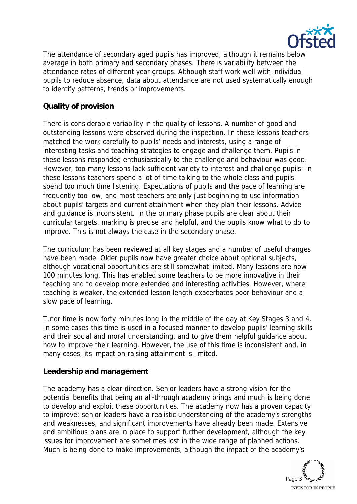

The attendance of secondary aged pupils has improved, although it remains below average in both primary and secondary phases. There is variability between the attendance rates of different year groups. Although staff work well with individual pupils to reduce absence, data about attendance are not used systematically enough to identify patterns, trends or improvements.

# **Quality of provision**

There is considerable variability in the quality of lessons. A number of good and outstanding lessons were observed during the inspection. In these lessons teachers matched the work carefully to pupils' needs and interests, using a range of interesting tasks and teaching strategies to engage and challenge them. Pupils in these lessons responded enthusiastically to the challenge and behaviour was good. However, too many lessons lack sufficient variety to interest and challenge pupils: in these lessons teachers spend a lot of time talking to the whole class and pupils spend too much time listening. Expectations of pupils and the pace of learning are frequently too low, and most teachers are only just beginning to use information about pupils' targets and current attainment when they plan their lessons. Advice and guidance is inconsistent. In the primary phase pupils are clear about their curricular targets, marking is precise and helpful, and the pupils know what to do to improve. This is not always the case in the secondary phase.

The curriculum has been reviewed at all key stages and a number of useful changes have been made. Older pupils now have greater choice about optional subjects, although vocational opportunities are still somewhat limited. Many lessons are now 100 minutes long. This has enabled some teachers to be more innovative in their teaching and to develop more extended and interesting activities. However, where teaching is weaker, the extended lesson length exacerbates poor behaviour and a slow pace of learning.

Tutor time is now forty minutes long in the middle of the day at Key Stages 3 and 4. In some cases this time is used in a focused manner to develop pupils' learning skills and their social and moral understanding, and to give them helpful guidance about how to improve their learning. However, the use of this time is inconsistent and, in many cases, its impact on raising attainment is limited.

### **Leadership and management**

The academy has a clear direction. Senior leaders have a strong vision for the potential benefits that being an all-through academy brings and much is being done to develop and exploit these opportunities. The academy now has a proven capacity to improve: senior leaders have a realistic understanding of the academy's strengths and weaknesses, and significant improvements have already been made. Extensive and ambitious plans are in place to support further development, although the key issues for improvement are sometimes lost in the wide range of planned actions. Much is being done to make improvements, although the impact of the academy's

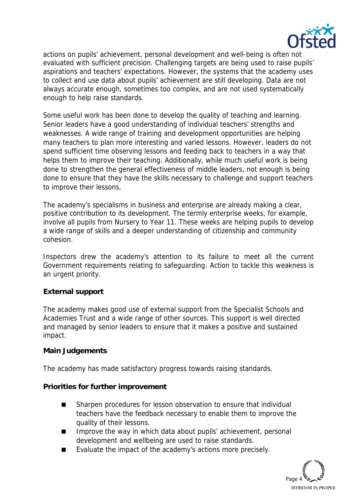

actions on pupils' achievement, personal development and well-being is often not evaluated with sufficient precision. Challenging targets are being used to raise pupils' aspirations and teachers' expectations. However, the systems that the academy uses to collect and use data about pupils' achievement are still developing. Data are not always accurate enough, sometimes too complex, and are not used systematically enough to help raise standards.

Some useful work has been done to develop the quality of teaching and learning. Senior leaders have a good understanding of individual teachers' strengths and weaknesses. A wide range of training and development opportunities are helping many teachers to plan more interesting and varied lessons. However, leaders do not spend sufficient time observing lessons and feeding back to teachers in a way that helps them to improve their teaching. Additionally, while much useful work is being done to strengthen the general effectiveness of middle leaders, not enough is being done to ensure that they have the skills necessary to challenge and support teachers to improve their lessons.

The academy's specialisms in business and enterprise are already making a clear, positive contribution to its development. The termly enterprise weeks, for example, involve all pupils from Nursery to Year 11. These weeks are helping pupils to develop a wide range of skills and a deeper understanding of citizenship and community cohesion.

Inspectors drew the academy's attention to its failure to meet all the current Government requirements relating to safeguarding. Action to tackle this weakness is an urgent priority.

## **External support**

The academy makes good use of external support from the Specialist Schools and Academies Trust and a wide range of other sources. This support is well directed and managed by senior leaders to ensure that it makes a positive and sustained impact.

### **Main Judgements**

The academy has made satisfactory progress towards raising standards.

**Priorities for further improvement**

- Sharpen procedures for lesson observation to ensure that individual teachers have the feedback necessary to enable them to improve the quality of their lessons.
- Improve the way in which data about pupils' achievement, personal development and wellbeing are used to raise standards.
- Evaluate the impact of the academy's actions more precisely.